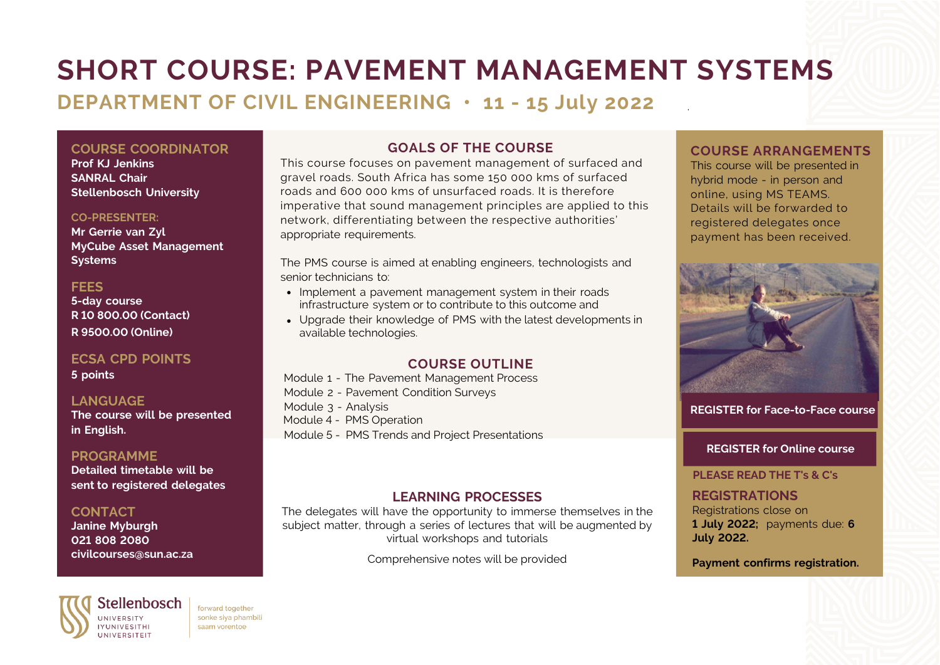# **SHORT COURSE: PAVEMENT MANAGEMENT SYSTEMS**

### **DEPARTMENT OF CIVIL ENGINEERING • 11 - 15 July 2022**

**COURSE COORDINATOR Prof KJ Jenkins SANRAL Chair Stellenbosch University**

#### **CO-PRESENTER:**

**Mr Gerrie van Zyl MyCube Asset Management Systems**

#### **FEES**

**5-day course R 10 800.00 (Contact) R 9500.00 (Online)**

#### **ECSA CPD POINTS**

**5 points**

#### **LANGUAGE**

**The course will be presented in English.**

#### **PROGRAMME**

**Detailed timetable will be sent to registered delegates**

#### **CONTACT**

**Janine Myburgh 021 808 2080 civilcourses@sun.ac.za**

Stellenbosch forward together sonke siya phambili **IYUNIVESITHI** saam vorentoe **UNIVERSITEIT** 

### **GOALS OF THE COURSE**

This course focuses on pavement management of surfaced and gravel roads. South Africa has some 150 000 kms of surfaced roads and 600 000 kms of unsurfaced roads. It is therefore imperative that sound management principles are applied to this network, differentiating between the respective authorities' appropriate requirements.

The PMS course is aimed at enabling engineers, technologists and senior technicians to:

- Implement a pavement management system in their roads infrastructure system or to contribute to this outcome and
- Upgrade their knowledge of PMS with the latest developments in available technologies.

#### **COURSE OUTLINE**

Module 1 - The Pavement Management Process Module 2 - Pavement Condition Surveys Module 3 - Analysis

- Module 4 PMS Operation
- Module 5 PMS Trends and Project Presentations

#### **LEARNING PROCESSES**

The delegates will have the opportunity to immerse themselves in the subiect matter, through a series of lectures that will be augmented by virtual workshops and tutorials

Comprehensive notes will be provided

#### **COURSE ARRANGEMENTS**

.

This course will be presented in hybrid mode - in person and online, using MS TEAMS. Details will be forwarded to registered delegates once payment has been received.



#### **REGISTER for [Face-to-Face](https://shortcourses.sun.ac.za/application-form.html?offeringid=09a1e7f3-4bd7-ec11-812d-0050568033a6) course**

#### **[REGISTER](https://shortcourses.sun.ac.za/application-form.html?offeringid=854b57af-e9d5-ec11-abee-005056801c40) for Online course**

#### **PLEASE READ THE T's & C's**

### **REGISTRATIONS**

Registrations close on **1 July 2022;** payments due: **6 July 2022.**

**Payment confirms registration.**